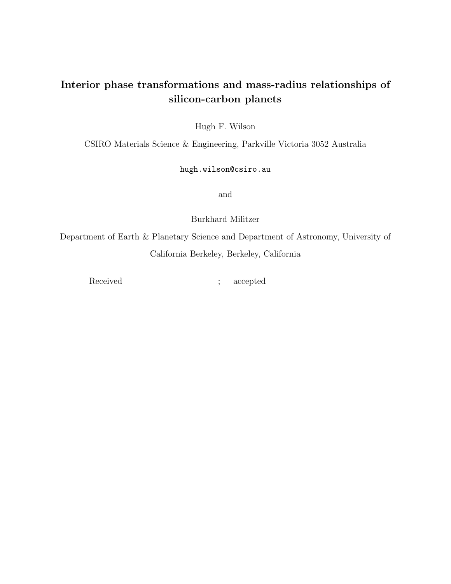# Interior phase transformations and mass-radius relationships of silicon-carbon planets

Hugh F. Wilson

CSIRO Materials Science & Engineering, Parkville Victoria 3052 Australia

# hugh.wilson@csiro.au

and

Burkhard Militzer

Department of Earth & Planetary Science and Department of Astronomy, University of California Berkeley, Berkeley, California

Received \_\_\_\_\_\_\_\_\_\_\_\_\_\_\_; accepted \_\_\_\_\_\_\_\_\_\_\_\_\_\_\_\_;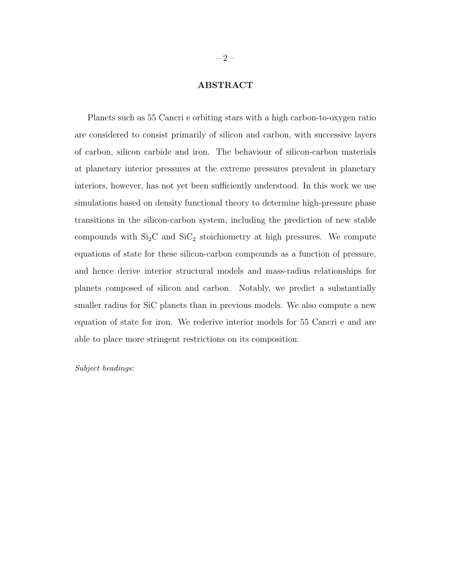### ABSTRACT

Planets such as 55 Cancri e orbiting stars with a high carbon-to-oxygen ratio are considered to consist primarily of silicon and carbon, with successive layers of carbon, silicon carbide and iron. The behaviour of silicon-carbon materials at planetary interior pressures at the extreme pressures prevalent in planetary interiors, however, has not yet been sufficiently understood. In this work we use simulations based on density functional theory to determine high-pressure phase transitions in the silicon-carbon system, including the prediction of new stable compounds with  $Si<sub>2</sub>C$  and  $Si<sub>2</sub>$  stoichiometry at high pressures. We compute equations of state for these silicon-carbon compounds as a function of pressure, and hence derive interior structural models and mass-radius relationships for planets composed of silicon and carbon. Notably, we predict a substantially smaller radius for SiC planets than in previous models. We also compute a new equation of state for iron. We rederive interior models for 55 Cancri e and are able to place more stringent restrictions on its composition.

Subject headings: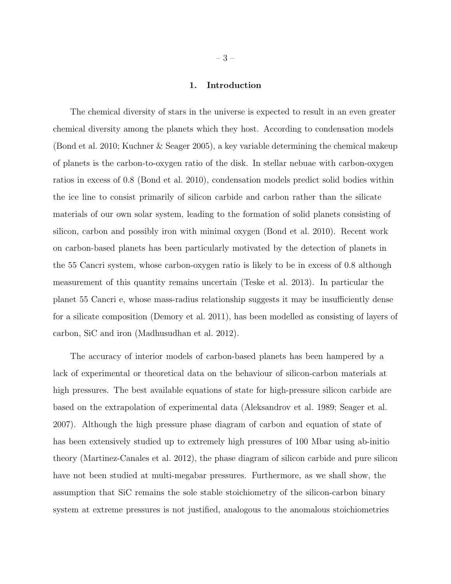#### 1. Introduction

The chemical diversity of stars in the universe is expected to result in an even greater chemical diversity among the planets which they host. According to condensation models (Bond et al. 2010; Kuchner & Seager 2005), a key variable determining the chemical makeup of planets is the carbon-to-oxygen ratio of the disk. In stellar nebuae with carbon-oxygen ratios in excess of 0.8 (Bond et al. 2010), condensation models predict solid bodies within the ice line to consist primarily of silicon carbide and carbon rather than the silicate materials of our own solar system, leading to the formation of solid planets consisting of silicon, carbon and possibly iron with minimal oxygen (Bond et al. 2010). Recent work on carbon-based planets has been particularly motivated by the detection of planets in the 55 Cancri system, whose carbon-oxygen ratio is likely to be in excess of 0.8 although measurement of this quantity remains uncertain (Teske et al. 2013). In particular the planet 55 Cancri e, whose mass-radius relationship suggests it may be insufficiently dense for a silicate composition (Demory et al. 2011), has been modelled as consisting of layers of carbon, SiC and iron (Madhusudhan et al. 2012).

The accuracy of interior models of carbon-based planets has been hampered by a lack of experimental or theoretical data on the behaviour of silicon-carbon materials at high pressures. The best available equations of state for high-pressure silicon carbide are based on the extrapolation of experimental data (Aleksandrov et al. 1989; Seager et al. 2007). Although the high pressure phase diagram of carbon and equation of state of has been extensively studied up to extremely high pressures of 100 Mbar using ab-initio theory (Martinez-Canales et al. 2012), the phase diagram of silicon carbide and pure silicon have not been studied at multi-megabar pressures. Furthermore, as we shall show, the assumption that SiC remains the sole stable stoichiometry of the silicon-carbon binary system at extreme pressures is not justified, analogous to the anomalous stoichiometries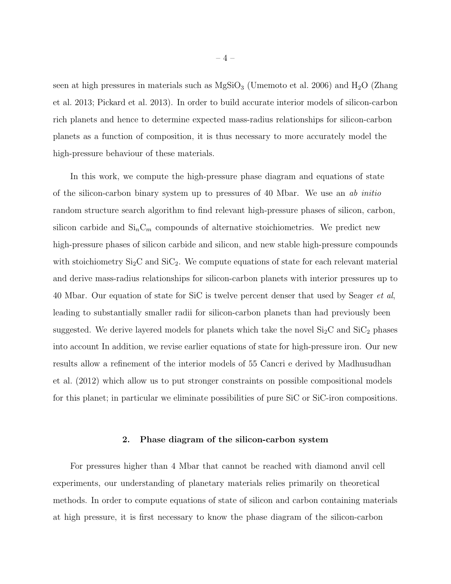seen at high pressures in materials such as  $MgSiO<sub>3</sub>$  (Umemoto et al. 2006) and  $H<sub>2</sub>O$  (Zhang et al. 2013; Pickard et al. 2013). In order to build accurate interior models of silicon-carbon rich planets and hence to determine expected mass-radius relationships for silicon-carbon planets as a function of composition, it is thus necessary to more accurately model the high-pressure behaviour of these materials.

In this work, we compute the high-pressure phase diagram and equations of state of the silicon-carbon binary system up to pressures of 40 Mbar. We use an ab initio random structure search algorithm to find relevant high-pressure phases of silicon, carbon, silicon carbide and  $\mathrm{Si}_n\mathrm{C}_m$  compounds of alternative stoichiometries. We predict new high-pressure phases of silicon carbide and silicon, and new stable high-pressure compounds with stoichiometry  $Si<sub>2</sub>C$  and  $Si<sub>2</sub>$ . We compute equations of state for each relevant material and derive mass-radius relationships for silicon-carbon planets with interior pressures up to 40 Mbar. Our equation of state for SiC is twelve percent denser that used by Seager et al, leading to substantially smaller radii for silicon-carbon planets than had previously been suggested. We derive layered models for planets which take the novel  $Si<sub>2</sub>C$  and  $Si<sub>2</sub>$  phases into account In addition, we revise earlier equations of state for high-pressure iron. Our new results allow a refinement of the interior models of 55 Cancri e derived by Madhusudhan et al. (2012) which allow us to put stronger constraints on possible compositional models for this planet; in particular we eliminate possibilities of pure SiC or SiC-iron compositions.

#### 2. Phase diagram of the silicon-carbon system

For pressures higher than 4 Mbar that cannot be reached with diamond anvil cell experiments, our understanding of planetary materials relies primarily on theoretical methods. In order to compute equations of state of silicon and carbon containing materials at high pressure, it is first necessary to know the phase diagram of the silicon-carbon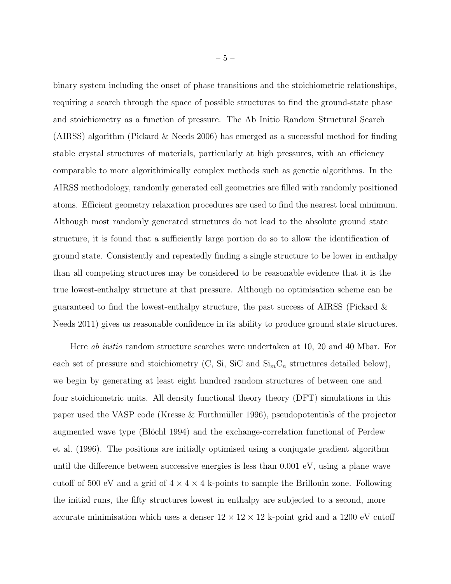binary system including the onset of phase transitions and the stoichiometric relationships, requiring a search through the space of possible structures to find the ground-state phase and stoichiometry as a function of pressure. The Ab Initio Random Structural Search (AIRSS) algorithm (Pickard & Needs 2006) has emerged as a successful method for finding stable crystal structures of materials, particularly at high pressures, with an efficiency comparable to more algorithimically complex methods such as genetic algorithms. In the AIRSS methodology, randomly generated cell geometries are filled with randomly positioned atoms. Efficient geometry relaxation procedures are used to find the nearest local minimum. Although most randomly generated structures do not lead to the absolute ground state structure, it is found that a sufficiently large portion do so to allow the identification of ground state. Consistently and repeatedly finding a single structure to be lower in enthalpy than all competing structures may be considered to be reasonable evidence that it is the true lowest-enthalpy structure at that pressure. Although no optimisation scheme can be guaranteed to find the lowest-enthalpy structure, the past success of AIRSS (Pickard & Needs 2011) gives us reasonable confidence in its ability to produce ground state structures.

Here ab initio random structure searches were undertaken at 10, 20 and 40 Mbar. For each set of pressure and stoichiometry (C, Si, SiC and  $\text{Si}_{m} \text{C}_{n}$  structures detailed below), we begin by generating at least eight hundred random structures of between one and four stoichiometric units. All density functional theory theory (DFT) simulations in this paper used the VASP code (Kresse  $&$  Furthmüller 1996), pseudopotentials of the projector augmented wave type (Blöchl 1994) and the exchange-correlation functional of Perdew et al. (1996). The positions are initially optimised using a conjugate gradient algorithm until the difference between successive energies is less than 0.001 eV, using a plane wave cutoff of 500 eV and a grid of  $4 \times 4 \times 4$  k-points to sample the Brillouin zone. Following the initial runs, the fifty structures lowest in enthalpy are subjected to a second, more accurate minimisation which uses a denser  $12 \times 12 \times 12$  k-point grid and a 1200 eV cutoff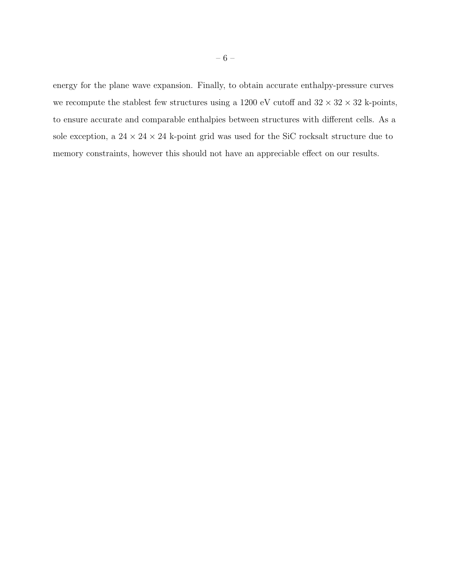energy for the plane wave expansion. Finally, to obtain accurate enthalpy-pressure curves we recompute the stablest few structures using a 1200 eV cutoff and  $32 \times 32 \times 32$  k-points, to ensure accurate and comparable enthalpies between structures with different cells. As a sole exception, a  $24 \times 24 \times 24$  k-point grid was used for the SiC rocksalt structure due to memory constraints, however this should not have an appreciable effect on our results.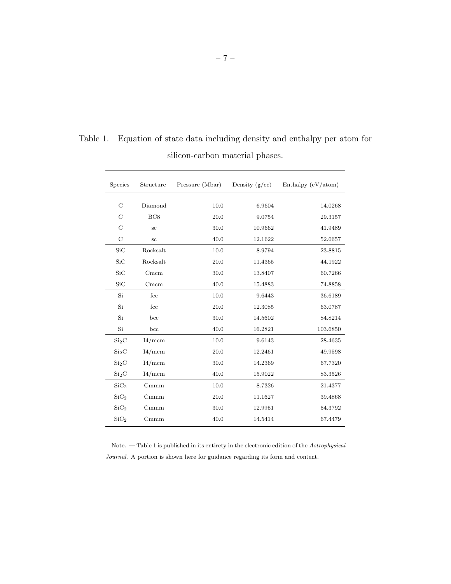| Species           | Structure        | Pressure (Mbar) | Density $(g/cc)$ | Enthalpy (eV/atom) |
|-------------------|------------------|-----------------|------------------|--------------------|
|                   |                  |                 |                  |                    |
| $\mathcal{C}$     | Diamond          | 10.0            | 6.9604           | 14.0268            |
| $\mathcal{C}$     | BC8              | 20.0            | 9.0754           | 29.3157            |
| $\mathcal{C}$     | $_{\rm sc}$      | 30.0            | 10.9662          | 41.9489            |
| $\mathcal{C}$     | $_{\rm sc}$      | 40.0            | 12.1622          | 52.6657            |
| SiC               | Rocksalt         | 10.0            | 8.9794           | 23.8815            |
| SiC               | Rocksalt         | 20.0            | 11.4365          | 44.1922            |
| SiC               | Cmcm             | 30.0            | 13.8407          | 60.7266            |
| SiC               | Cmcm             | 40.0            | 15.4883          | 74.8858            |
| Si                | fcc              | 10.0            | 9.6443           | 36.6189            |
| Si                | fcc              | 20.0            | 12.3085          | 63.0787            |
| Si                | bcc              | 30.0            | 14.5602          | 84.8214            |
| Si                | bcc              | 40.0            | 16.2821          | 103.6850           |
| Si <sub>2</sub> C | I4/mcm           | 10.0            | 9.6143           | 28.4635            |
| Si <sub>2</sub> C | I4/mcm           | 20.0            | 12.2461          | 49.9598            |
| Si <sub>2</sub> C | I4/mcm           | 30.0            | 14.2369          | 67.7320            |
| Si <sub>2</sub> C | I4/mcm           | 40.0            | 15.9022          | 83.3526            |
| SiC <sub>2</sub>  | C <sub>mmm</sub> | 10.0            | 8.7326           | 21.4377            |
| SiC <sub>2</sub>  | C <sub>mmm</sub> | 20.0            | 11.1627          | 39.4868            |
| SiC <sub>2</sub>  | C <sub>mmm</sub> | 30.0            | 12.9951          | 54.3792            |
| SiC <sub>2</sub>  | C <sub>mmm</sub> | 40.0            | 14.5414          | 67.4479            |

Table 1. Equation of state data including density and enthalpy per atom for silicon-carbon material phases.

Note. — Table 1 is published in its entirety in the electronic edition of the  $A {\it strongly} is a$ Journal. A portion is shown here for guidance regarding its form and content.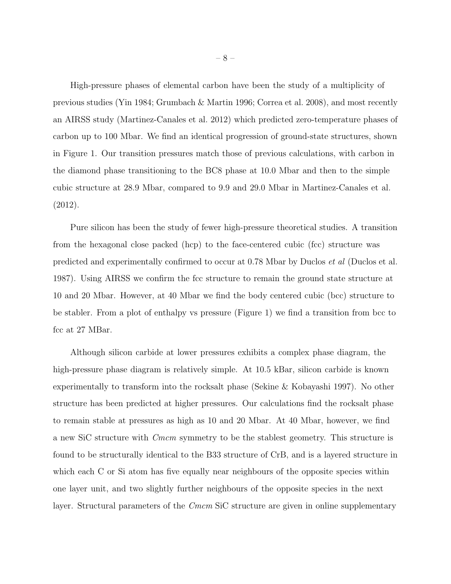High-pressure phases of elemental carbon have been the study of a multiplicity of previous studies (Yin 1984; Grumbach & Martin 1996; Correa et al. 2008), and most recently an AIRSS study (Martinez-Canales et al. 2012) which predicted zero-temperature phases of carbon up to 100 Mbar. We find an identical progression of ground-state structures, shown in Figure 1. Our transition pressures match those of previous calculations, with carbon in the diamond phase transitioning to the BC8 phase at 10.0 Mbar and then to the simple cubic structure at 28.9 Mbar, compared to 9.9 and 29.0 Mbar in Martinez-Canales et al. (2012).

Pure silicon has been the study of fewer high-pressure theoretical studies. A transition from the hexagonal close packed (hcp) to the face-centered cubic (fcc) structure was predicted and experimentally confirmed to occur at 0.78 Mbar by Duclos et al (Duclos et al. 1987). Using AIRSS we confirm the fcc structure to remain the ground state structure at 10 and 20 Mbar. However, at 40 Mbar we find the body centered cubic (bcc) structure to be stabler. From a plot of enthalpy vs pressure (Figure 1) we find a transition from bcc to fcc at 27 MBar.

Although silicon carbide at lower pressures exhibits a complex phase diagram, the high-pressure phase diagram is relatively simple. At 10.5 kBar, silicon carbide is known experimentally to transform into the rocksalt phase (Sekine & Kobayashi 1997). No other structure has been predicted at higher pressures. Our calculations find the rocksalt phase to remain stable at pressures as high as 10 and 20 Mbar. At 40 Mbar, however, we find a new SiC structure with Cmcm symmetry to be the stablest geometry. This structure is found to be structurally identical to the B33 structure of CrB, and is a layered structure in which each C or Si atom has five equally near neighbours of the opposite species within one layer unit, and two slightly further neighbours of the opposite species in the next layer. Structural parameters of the *Cmcm* SiC structure are given in online supplementary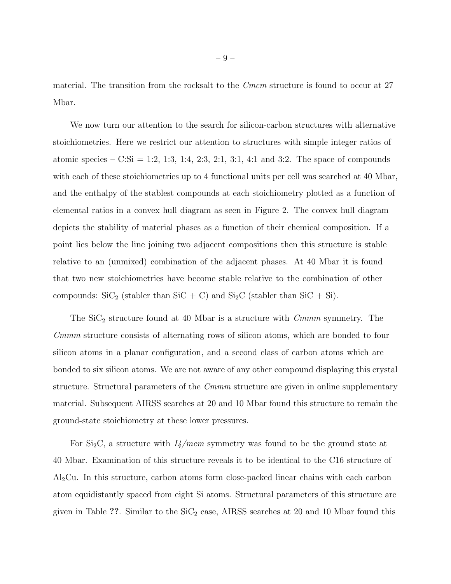material. The transition from the rocksalt to the *Cmcm* structure is found to occur at 27 Mbar.

We now turn our attention to the search for silicon-carbon structures with alternative stoichiometries. Here we restrict our attention to structures with simple integer ratios of atomic species – C:Si = 1:2, 1:3, 1:4, 2:3, 2:1, 3:1, 4:1 and 3:2. The space of compounds with each of these stoichiometries up to 4 functional units per cell was searched at 40 Mbar, and the enthalpy of the stablest compounds at each stoichiometry plotted as a function of elemental ratios in a convex hull diagram as seen in Figure 2. The convex hull diagram depicts the stability of material phases as a function of their chemical composition. If a point lies below the line joining two adjacent compositions then this structure is stable relative to an (unmixed) combination of the adjacent phases. At 40 Mbar it is found that two new stoichiometries have become stable relative to the combination of other compounds:  $\text{SiC}_2$  (stabler than  $\text{SiC} + \text{C}$ ) and  $\text{Si}_2\text{C}$  (stabler than  $\text{SiC} + \text{Si}$ ).

The  $\text{SiC}_2$  structure found at 40 Mbar is a structure with  $\textit{Cmmm}$  symmetry. The Cmmm structure consists of alternating rows of silicon atoms, which are bonded to four silicon atoms in a planar configuration, and a second class of carbon atoms which are bonded to six silicon atoms. We are not aware of any other compound displaying this crystal structure. Structural parameters of the *Cmmm* structure are given in online supplementary material. Subsequent AIRSS searches at 20 and 10 Mbar found this structure to remain the ground-state stoichiometry at these lower pressures.

For  $Si<sub>2</sub>C$ , a structure with  $I<sub>4</sub>/mcm$  symmetry was found to be the ground state at 40 Mbar. Examination of this structure reveals it to be identical to the C16 structure of Al2Cu. In this structure, carbon atoms form close-packed linear chains with each carbon atom equidistantly spaced from eight Si atoms. Structural parameters of this structure are given in Table ??. Similar to the  $\text{SiC}_2$  case, AIRSS searches at 20 and 10 Mbar found this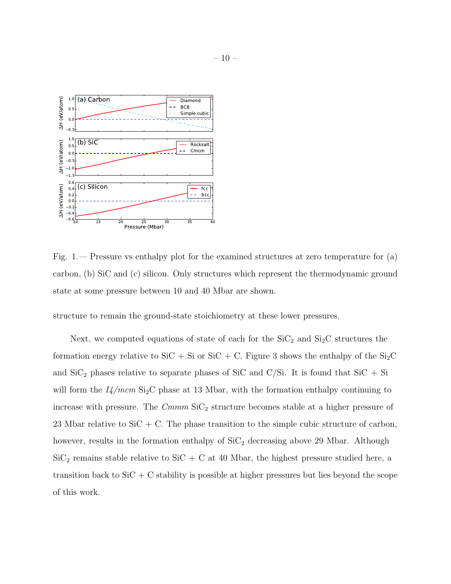

Fig. 1.— Pressure vs enthalpy plot for the examined structures at zero temperature for (a) carbon, (b) SiC and (c) silicon. Only structures which represent the thermodynamic ground state at some pressure between 10 and 40 Mbar are shown.

structure to remain the ground-state stoichiometry at these lower pressures.

Next, we computed equations of state of each for the  $\text{SiC}_2$  and  $\text{Si}_2\text{C}$  structures the formation energy relative to SiC + Si or SiC + C. Figure 3 shows the enthalpy of the Si<sub>2</sub>C and  $\text{SiC}_2$  phases relative to separate phases of SiC and C/Si. It is found that  $\text{SiC} + \text{Si}$ will form the  $I//mcm$  Si<sub>2</sub>C phase at 13 Mbar, with the formation enthalpy continuing to increase with pressure. The  $C<sub>mmm</sub> SiC<sub>2</sub> structure becomes stable at a higher pressure of$ 23 Mbar relative to  $SiC + C$ . The phase transition to the simple cubic structure of carbon, however, results in the formation enthalpy of  $\text{SiC}_2$  decreasing above 29 Mbar. Although  $\mathrm{SiC}_2$  remains stable relative to  $\mathrm{SiC} + \mathrm{C}$  at 40 Mbar, the highest pressure studied here, a transition back to  $SiC + C$  stability is possible at higher pressures but lies beyond the scope of this work.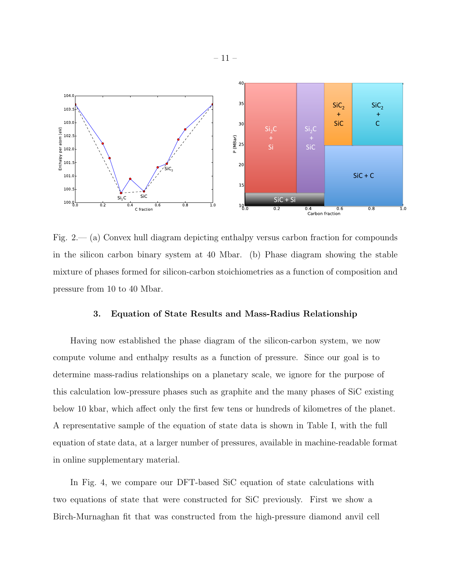

Fig.  $2-(a)$  Convex hull diagram depicting enthalpy versus carbon fraction for compounds in the silicon carbon binary system at 40 Mbar. (b) Phase diagram showing the stable mixture of phases formed for silicon-carbon stoichiometries as a function of composition and pressure from 10 to 40 Mbar.

#### 3. Equation of State Results and Mass-Radius Relationship

Having now established the phase diagram of the silicon-carbon system, we now compute volume and enthalpy results as a function of pressure. Since our goal is to determine mass-radius relationships on a planetary scale, we ignore for the purpose of this calculation low-pressure phases such as graphite and the many phases of SiC existing below 10 kbar, which affect only the first few tens or hundreds of kilometres of the planet. A representative sample of the equation of state data is shown in Table I, with the full equation of state data, at a larger number of pressures, available in machine-readable format in online supplementary material.

In Fig. 4, we compare our DFT-based SiC equation of state calculations with two equations of state that were constructed for SiC previously. First we show a Birch-Murnaghan fit that was constructed from the high-pressure diamond anvil cell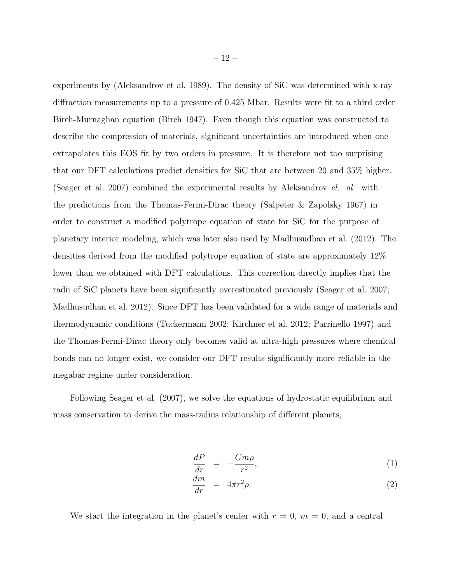experiments by (Aleksandrov et al. 1989). The density of SiC was determined with x-ray diffraction measurements up to a pressure of 0.425 Mbar. Results were fit to a third order Birch-Murnaghan equation (Birch 1947). Even though this equation was constructed to describe the compression of materials, significant uncertainties are introduced when one extrapolates this EOS fit by two orders in pressure. It is therefore not too surprising that our DFT calculations predict densities for SiC that are between 20 and 35% higher. (Seager et al. 2007) combined the experimental results by Aleksandrov el. al. with the predictions from the Thomas-Fermi-Dirac theory (Salpeter & Zapolsky 1967) in order to construct a modified polytrope equation of state for SiC for the purpose of planetary interior modeling, which was later also used by Madhusudhan et al. (2012). The densities derived from the modified polytrope equation of state are approximately 12% lower than we obtained with DFT calculations. This correction directly implies that the radii of SiC planets have been significantly overestimated previously (Seager et al. 2007; Madhusudhan et al. 2012). Since DFT has been validated for a wide range of materials and thermodynamic conditions (Tuckermann 2002; Kirchner et al. 2012; Parrinello 1997) and the Thomas-Fermi-Dirac theory only becomes valid at ultra-high pressures where chemical bonds can no longer exist, we consider our DFT results significantly more reliable in the megabar regime under consideration.

Following Seager et al. (2007), we solve the equations of hydrostatic equilibrium and mass conservation to derive the mass-radius relationship of different planets,

$$
\frac{dP}{dr} = -\frac{Gm\rho}{r^2},\tag{1}
$$

$$
\frac{dm}{dr} = 4\pi r^2 \rho. \tag{2}
$$

We start the integration in the planet's center with  $r = 0$ ,  $m = 0$ , and a central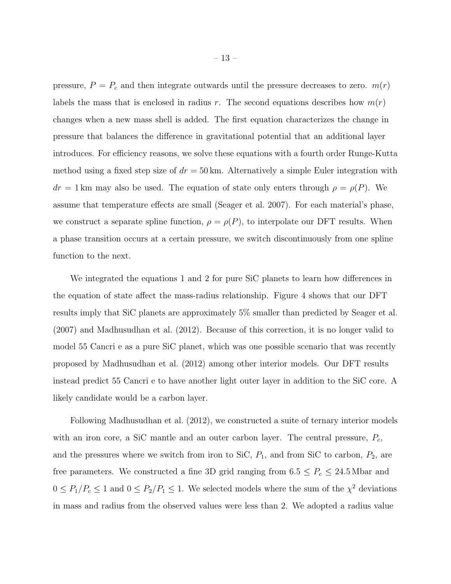pressure,  $P = P_c$  and then integrate outwards until the pressure decreases to zero.  $m(r)$ labels the mass that is enclosed in radius r. The second equations describes how  $m(r)$ changes when a new mass shell is added. The first equation characterizes the change in pressure that balances the difference in gravitational potential that an additional layer introduces. For efficiency reasons, we solve these equations with a fourth order Runge-Kutta method using a fixed step size of  $dr = 50 \,\text{km}$ . Alternatively a simple Euler integration with  $dr = 1$  km may also be used. The equation of state only enters through  $\rho = \rho(P)$ . We assume that temperature effects are small (Seager et al. 2007). For each material's phase, we construct a separate spline function,  $\rho = \rho(P)$ , to interpolate our DFT results. When a phase transition occurs at a certain pressure, we switch discontinuously from one spline function to the next.

We integrated the equations 1 and 2 for pure SiC planets to learn how differences in the equation of state affect the mass-radius relationship. Figure 4 shows that our DFT results imply that SiC planets are approximately 5% smaller than predicted by Seager et al. (2007) and Madhusudhan et al. (2012). Because of this correction, it is no longer valid to model 55 Cancri e as a pure SiC planet, which was one possible scenario that was recently proposed by Madhusudhan et al. (2012) among other interior models. Our DFT results instead predict 55 Cancri e to have another light outer layer in addition to the SiC core. A likely candidate would be a carbon layer.

Following Madhusudhan et al. (2012), we constructed a suite of ternary interior models with an iron core, a SiC mantle and an outer carbon layer. The central pressure,  $P_c$ , and the pressures where we switch from iron to SiC,  $P_1$ , and from SiC to carbon,  $P_2$ , are free parameters. We constructed a fine 3D grid ranging from  $6.5 \le P_c \le 24.5$  Mbar and  $0 \le P_1/P_c \le 1$  and  $0 \le P_2/P_1 \le 1$ . We selected models where the sum of the  $\chi^2$  deviations in mass and radius from the observed values were less than 2. We adopted a radius value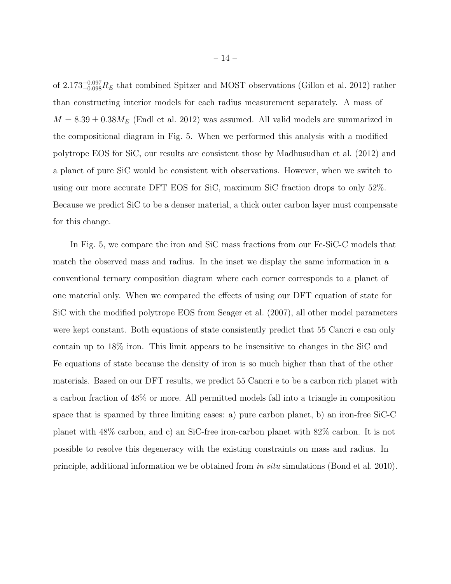of 2.173<sup>+0.097</sup> $R_E$  that combined Spitzer and MOST observations (Gillon et al. 2012) rather than constructing interior models for each radius measurement separately. A mass of  $M = 8.39 \pm 0.38 M_E$  (Endl et al. 2012) was assumed. All valid models are summarized in the compositional diagram in Fig. 5. When we performed this analysis with a modified polytrope EOS for SiC, our results are consistent those by Madhusudhan et al. (2012) and a planet of pure SiC would be consistent with observations. However, when we switch to using our more accurate DFT EOS for SiC, maximum SiC fraction drops to only 52%. Because we predict SiC to be a denser material, a thick outer carbon layer must compensate for this change.

In Fig. 5, we compare the iron and SiC mass fractions from our Fe-SiC-C models that match the observed mass and radius. In the inset we display the same information in a conventional ternary composition diagram where each corner corresponds to a planet of one material only. When we compared the effects of using our DFT equation of state for SiC with the modified polytrope EOS from Seager et al. (2007), all other model parameters were kept constant. Both equations of state consistently predict that 55 Cancri e can only contain up to 18% iron. This limit appears to be insensitive to changes in the SiC and Fe equations of state because the density of iron is so much higher than that of the other materials. Based on our DFT results, we predict 55 Cancri e to be a carbon rich planet with a carbon fraction of 48% or more. All permitted models fall into a triangle in composition space that is spanned by three limiting cases: a) pure carbon planet, b) an iron-free SiC-C planet with 48% carbon, and c) an SiC-free iron-carbon planet with 82% carbon. It is not possible to resolve this degeneracy with the existing constraints on mass and radius. In principle, additional information we be obtained from in situ simulations (Bond et al. 2010).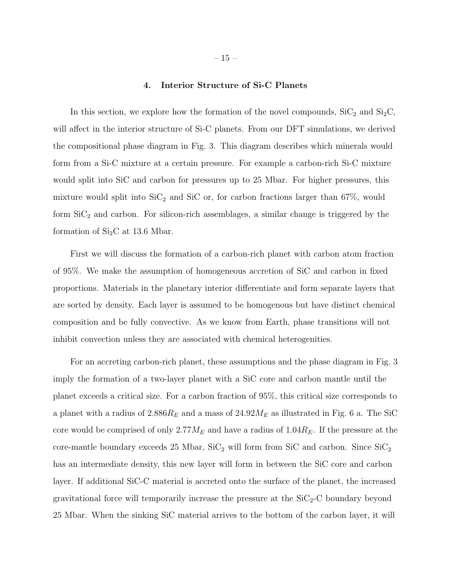#### 4. Interior Structure of Si-C Planets

In this section, we explore how the formation of the novel compounds,  $\text{SiC}_2$  and  $\text{Si}_2\text{C}$ , will affect in the interior structure of Si-C planets. From our DFT simulations, we derived the compositional phase diagram in Fig. 3. This diagram describes which minerals would form from a Si-C mixture at a certain pressure. For example a carbon-rich Si-C mixture would split into SiC and carbon for pressures up to 25 Mbar. For higher pressures, this mixture would split into  $\text{SiC}_2$  and  $\text{SiC}$  or, for carbon fractions larger than 67%, would form  $SiC<sub>2</sub>$  and carbon. For silicon-rich assemblages, a similar change is triggered by the formation of  $Si<sub>2</sub>C$  at 13.6 Mbar.

First we will discuss the formation of a carbon-rich planet with carbon atom fraction of 95%. We make the assumption of homogeneous accretion of SiC and carbon in fixed proportions. Materials in the planetary interior differentiate and form separate layers that are sorted by density. Each layer is assumed to be homogenous but have distinct chemical composition and be fully convective. As we know from Earth, phase transitions will not inhibit convection unless they are associated with chemical heterogenities.

For an accreting carbon-rich planet, these assumptions and the phase diagram in Fig. 3 imply the formation of a two-layer planet with a SiC core and carbon mantle until the planet exceeds a critical size. For a carbon fraction of 95%, this critical size corresponds to a planet with a radius of  $2.886R_E$  and a mass of  $24.92M_E$  as illustrated in Fig. 6 a. The SiC core would be comprised of only  $2.77M_E$  and have a radius of  $1.04R_E$ . If the pressure at the core-mantle boundary exceeds 25 Mbar,  $\text{SiC}_2$  will form from SiC and carbon. Since  $\text{SiC}_2$ has an intermediate density, this new layer will form in between the SiC core and carbon layer. If additional SiC-C material is accreted onto the surface of the planet, the increased gravitational force will temporarily increase the pressure at the  $SiC_2-C$  boundary beyond 25 Mbar. When the sinking SiC material arrives to the bottom of the carbon layer, it will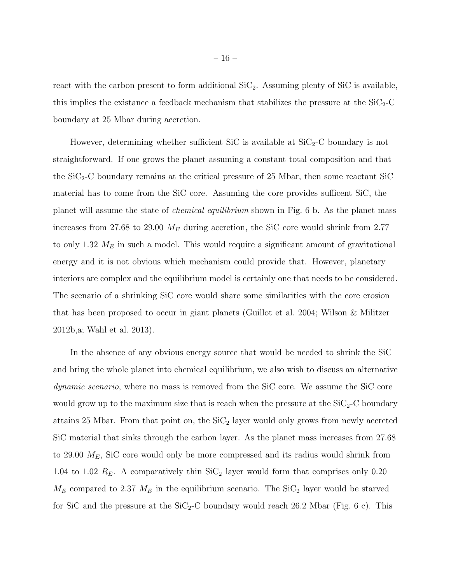react with the carbon present to form additional  $\text{SiC}_2$ . Assuming plenty of  $\text{SiC}$  is available, this implies the existance a feedback mechanism that stabilizes the pressure at the  $SiC_2-C$ boundary at 25 Mbar during accretion.

However, determining whether sufficient SiC is available at  $SiC_2-C$  boundary is not straightforward. If one grows the planet assuming a constant total composition and that the  $SiC<sub>2</sub>-C$  boundary remains at the critical pressure of 25 Mbar, then some reactant SiC material has to come from the SiC core. Assuming the core provides sufficent SiC, the planet will assume the state of chemical equilibrium shown in Fig. 6 b. As the planet mass increases from 27.68 to 29.00  $M_E$  during accretion, the SiC core would shrink from 2.77 to only 1.32  $M_E$  in such a model. This would require a significant amount of gravitational energy and it is not obvious which mechanism could provide that. However, planetary interiors are complex and the equilibrium model is certainly one that needs to be considered. The scenario of a shrinking SiC core would share some similarities with the core erosion that has been proposed to occur in giant planets (Guillot et al. 2004; Wilson & Militzer 2012b,a; Wahl et al. 2013).

In the absence of any obvious energy source that would be needed to shrink the SiC and bring the whole planet into chemical equilibrium, we also wish to discuss an alternative dynamic scenario, where no mass is removed from the SiC core. We assume the SiC core would grow up to the maximum size that is reach when the pressure at the  $SiC_2-C$  boundary attains 25 Mbar. From that point on, the  $\text{SiC}_2$  layer would only grows from newly accreted SiC material that sinks through the carbon layer. As the planet mass increases from 27.68 to 29.00  $M_E$ , SiC core would only be more compressed and its radius would shrink from 1.04 to 1.02  $R_E$ . A comparatively thin  $\text{SiC}_2$  layer would form that comprises only 0.20  $M_E$  compared to 2.37  $M_E$  in the equilibrium scenario. The SiC<sub>2</sub> layer would be starved for SiC and the pressure at the  $SiC_2-C$  boundary would reach 26.2 Mbar (Fig. 6 c). This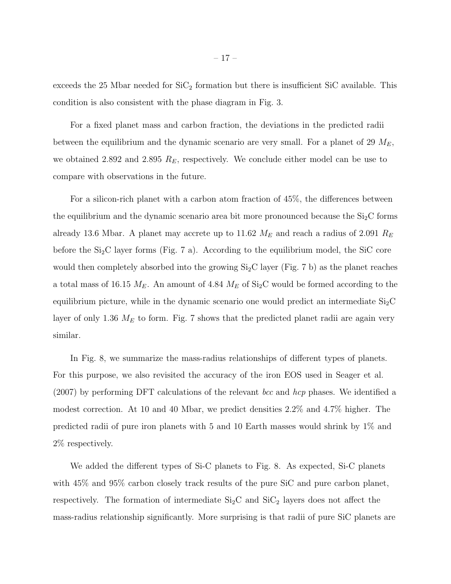exceeds the 25 Mbar needed for  $\text{SiC}_2$  formation but there is insufficient SiC available. This condition is also consistent with the phase diagram in Fig. 3.

For a fixed planet mass and carbon fraction, the deviations in the predicted radii between the equilibrium and the dynamic scenario are very small. For a planet of 29  $M_E$ , we obtained 2.892 and 2.895  $R_E$ , respectively. We conclude either model can be use to compare with observations in the future.

For a silicon-rich planet with a carbon atom fraction of 45%, the differences between the equilibrium and the dynamic scenario area bit more pronounced because the  $Si<sub>2</sub>C$  forms already 13.6 Mbar. A planet may accrete up to 11.62  $M_E$  and reach a radius of 2.091  $R_E$ before the  $Si<sub>2</sub>C$  layer forms (Fig. 7 a). According to the equilibrium model, the SiC core would then completely absorbed into the growing  $Si<sub>2</sub>C$  layer (Fig. 7 b) as the planet reaches a total mass of 16.15  $M_E$ . An amount of 4.84  $M_E$  of Si<sub>2</sub>C would be formed according to the equilibrium picture, while in the dynamic scenario one would predict an intermediate  $Si<sub>2</sub>C$ layer of only 1.36  $M_E$  to form. Fig. 7 shows that the predicted planet radii are again very similar.

In Fig. 8, we summarize the mass-radius relationships of different types of planets. For this purpose, we also revisited the accuracy of the iron EOS used in Seager et al.  $(2007)$  by performing DFT calculations of the relevant *bcc* and *hcp* phases. We identified a modest correction. At 10 and 40 Mbar, we predict densities 2.2% and 4.7% higher. The predicted radii of pure iron planets with 5 and 10 Earth masses would shrink by 1% and 2% respectively.

We added the different types of Si-C planets to Fig. 8. As expected, Si-C planets with 45% and 95% carbon closely track results of the pure SiC and pure carbon planet, respectively. The formation of intermediate  $Si<sub>2</sub>C$  and  $Si<sub>2</sub>C$  layers does not affect the mass-radius relationship significantly. More surprising is that radii of pure SiC planets are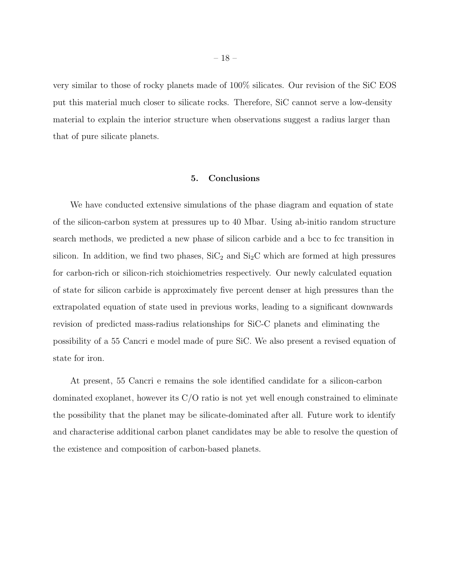very similar to those of rocky planets made of 100% silicates. Our revision of the SiC EOS put this material much closer to silicate rocks. Therefore, SiC cannot serve a low-density material to explain the interior structure when observations suggest a radius larger than that of pure silicate planets.

## 5. Conclusions

We have conducted extensive simulations of the phase diagram and equation of state of the silicon-carbon system at pressures up to 40 Mbar. Using ab-initio random structure search methods, we predicted a new phase of silicon carbide and a bcc to fcc transition in silicon. In addition, we find two phases,  $\text{SiC}_2$  and  $\text{Si}_2\text{C}$  which are formed at high pressures for carbon-rich or silicon-rich stoichiometries respectively. Our newly calculated equation of state for silicon carbide is approximately five percent denser at high pressures than the extrapolated equation of state used in previous works, leading to a significant downwards revision of predicted mass-radius relationships for SiC-C planets and eliminating the possibility of a 55 Cancri e model made of pure SiC. We also present a revised equation of state for iron.

At present, 55 Cancri e remains the sole identified candidate for a silicon-carbon dominated exoplanet, however its C/O ratio is not yet well enough constrained to eliminate the possibility that the planet may be silicate-dominated after all. Future work to identify and characterise additional carbon planet candidates may be able to resolve the question of the existence and composition of carbon-based planets.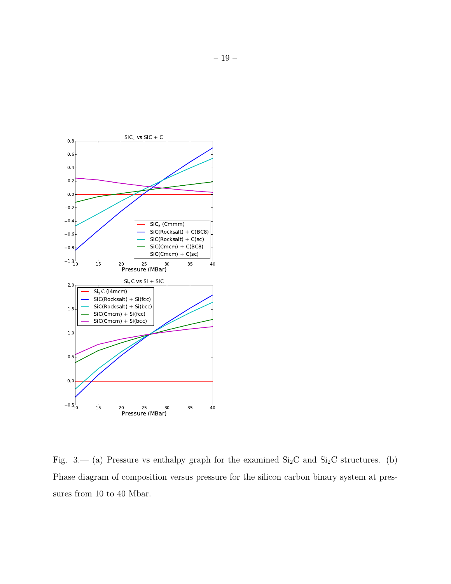

Fig. 3.— (a) Pressure vs enthalpy graph for the examined  $Si<sub>2</sub>C$  and  $Si<sub>2</sub>C$  structures. (b) Phase diagram of composition versus pressure for the silicon carbon binary system at pressures from 10 to 40 Mbar.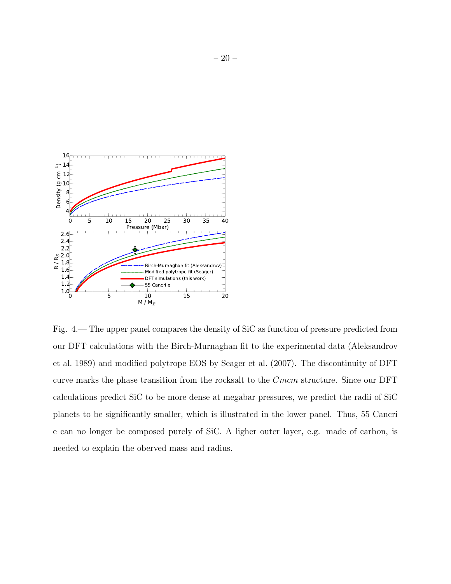

Fig. 4.— The upper panel compares the density of SiC as function of pressure predicted from our DFT calculations with the Birch-Murnaghan fit to the experimental data (Aleksandrov et al. 1989) and modified polytrope EOS by Seager et al. (2007). The discontinuity of DFT curve marks the phase transition from the rocksalt to the *Cmcm* structure. Since our DFT calculations predict SiC to be more dense at megabar pressures, we predict the radii of SiC planets to be significantly smaller, which is illustrated in the lower panel. Thus, 55 Cancri e can no longer be composed purely of SiC. A ligher outer layer, e.g. made of carbon, is needed to explain the oberved mass and radius.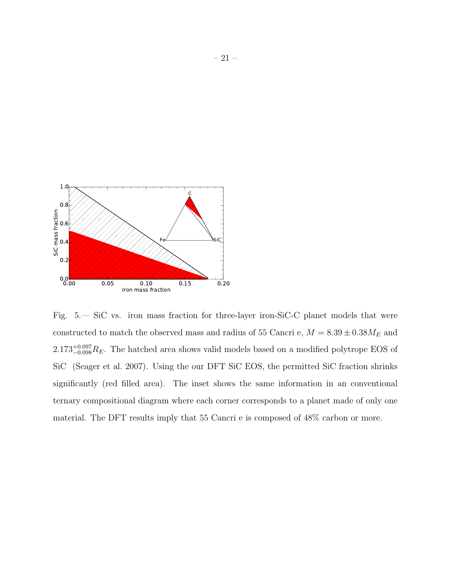

Fig. 5.— SiC vs. iron mass fraction for three-layer iron-SiC-C planet models that were constructed to match the observed mass and radius of 55 Cancri e,  $M=8.39\pm0.38M_E$  and  $2.173_{-0.098}^{+0.097}R_E$ . The hatched area shows valid models based on a modified polytrope EOS of SiC (Seager et al. 2007). Using the our DFT SiC EOS, the permitted SiC fraction shrinks significantly (red filled area). The inset shows the same information in an conventional ternary compositional diagram where each corner corresponds to a planet made of only one material. The DFT results imply that 55 Cancri e is composed of 48% carbon or more.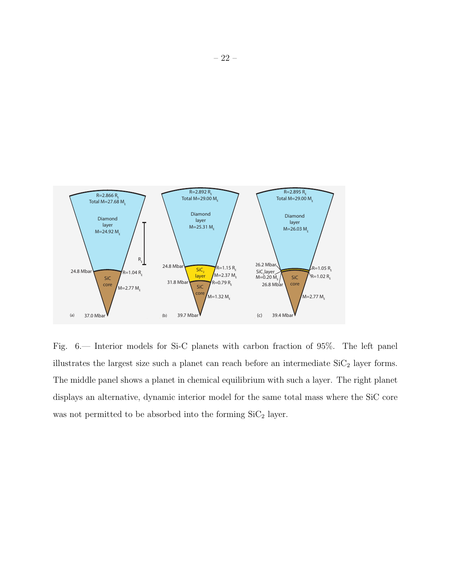

Fig. 6.— Interior models for Si-C planets with carbon fraction of 95%. The left panel illustrates the largest size such a planet can reach before an intermediate  $SiC_2$  layer forms. The middle panel shows a planet in chemical equilibrium with such a layer. The right planet displays an alternative, dynamic interior model for the same total mass where the SiC core was not permitted to be absorbed into the forming  $\mathrm{SiC}_2$  layer.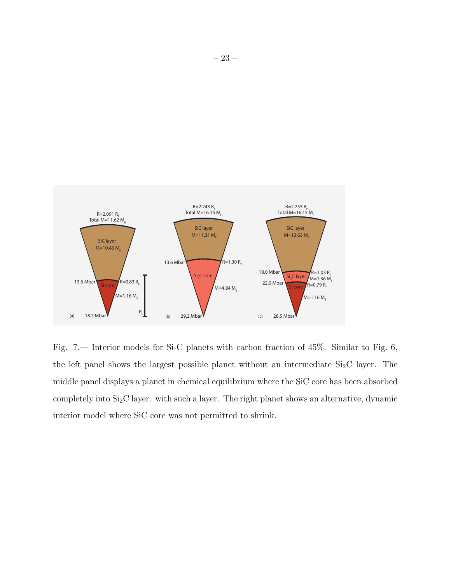

Fig. 7.— Interior models for Si-C planets with carbon fraction of 45%. Similar to Fig. 6, the left panel shows the largest possible planet without an intermediate  $Si<sub>2</sub>C$  layer. The middle panel displays a planet in chemical equilibrium where the SiC core has been absorbed completely into Si2C layer. with such a layer. The right planet shows an alternative, dynamic interior model where SiC core was not permitted to shrink.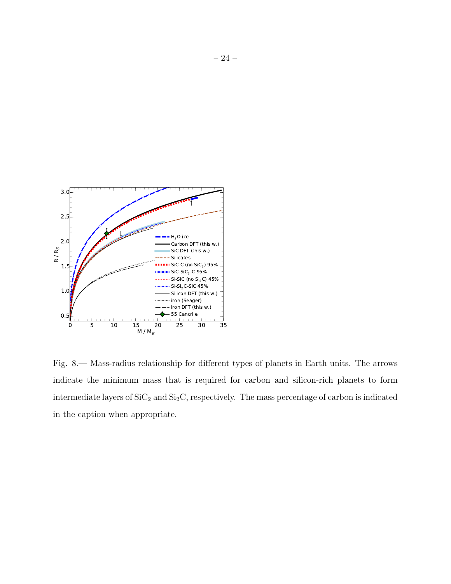

Fig. 8.— Mass-radius relationship for different types of planets in Earth units. The arrows indicate the minimum mass that is required for carbon and silicon-rich planets to form intermediate layers of  $SiC_2$  and  $Si<sub>2</sub>C$ , respectively. The mass percentage of carbon is indicated in the caption when appropriate.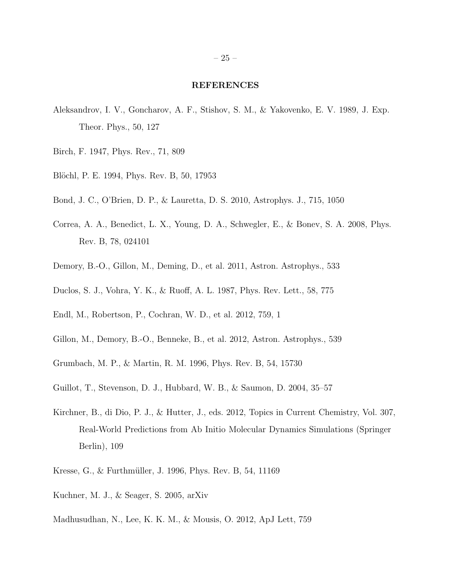#### REFERENCES

- Aleksandrov, I. V., Goncharov, A. F., Stishov, S. M., & Yakovenko, E. V. 1989, J. Exp. Theor. Phys., 50, 127
- Birch, F. 1947, Phys. Rev., 71, 809
- Blöchl, P. E. 1994, Phys. Rev. B, 50, 17953
- Bond, J. C., O'Brien, D. P., & Lauretta, D. S. 2010, Astrophys. J., 715, 1050
- Correa, A. A., Benedict, L. X., Young, D. A., Schwegler, E., & Bonev, S. A. 2008, Phys. Rev. B, 78, 024101
- Demory, B.-O., Gillon, M., Deming, D., et al. 2011, Astron. Astrophys., 533
- Duclos, S. J., Vohra, Y. K., & Ruoff, A. L. 1987, Phys. Rev. Lett., 58, 775
- Endl, M., Robertson, P., Cochran, W. D., et al. 2012, 759, 1
- Gillon, M., Demory, B.-O., Benneke, B., et al. 2012, Astron. Astrophys., 539
- Grumbach, M. P., & Martin, R. M. 1996, Phys. Rev. B, 54, 15730
- Guillot, T., Stevenson, D. J., Hubbard, W. B., & Saumon, D. 2004, 35–57
- Kirchner, B., di Dio, P. J., & Hutter, J., eds. 2012, Topics in Current Chemistry, Vol. 307, Real-World Predictions from Ab Initio Molecular Dynamics Simulations (Springer Berlin), 109
- Kresse, G., & Furthmüller, J. 1996, Phys. Rev. B, 54, 11169
- Kuchner, M. J., & Seager, S. 2005, arXiv
- Madhusudhan, N., Lee, K. K. M., & Mousis, O. 2012, ApJ Lett, 759